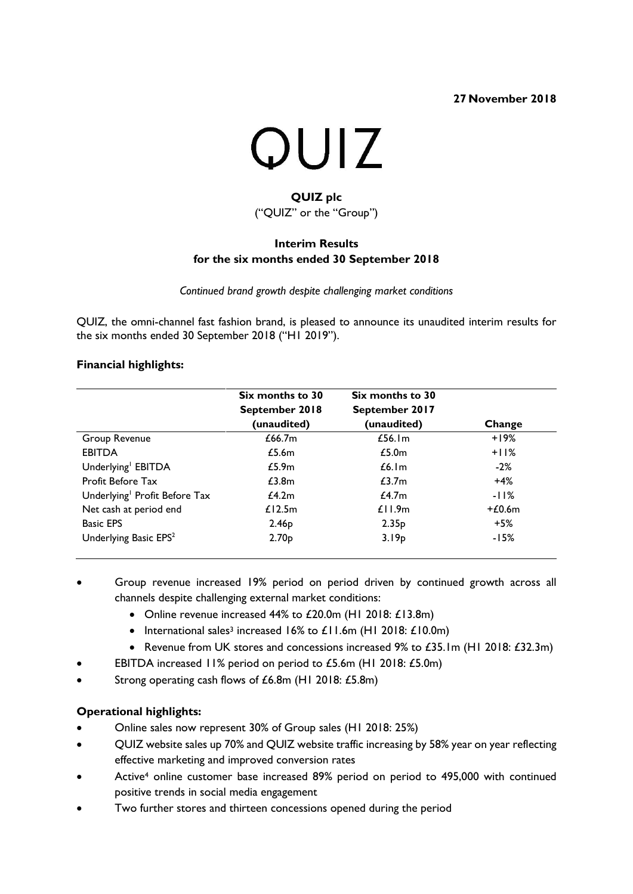**27 November 2018**



# **QUIZ plc** ("QUIZ" or the "Group")

# **Interim Results for the six months ended 30 September 2018**

*Continued brand growth despite challenging market conditions*

QUIZ, the omni-channel fast fashion brand, is pleased to announce its unaudited interim results for the six months ended 30 September 2018 ("H1 2019").

## **Financial highlights:**

|                                           | Six months to 30<br>September 2018<br>(unaudited) | Six months to 30<br>September 2017<br>(unaudited) | Change   |
|-------------------------------------------|---------------------------------------------------|---------------------------------------------------|----------|
| Group Revenue                             | £66.7m                                            | £56.1 $m$                                         | $+19%$   |
| <b>EBITDA</b>                             | £5.6m                                             | £5.0 <sub>m</sub>                                 | $+11%$   |
| Underlying <sup>1</sup> EBITDA            | £5.9m                                             | £6.1m                                             | $-2\%$   |
| <b>Profit Before Tax</b>                  | £3.8m                                             | £3.7m                                             | $+4%$    |
| Underlying <sup>1</sup> Profit Before Tax | £4.2m                                             | £4.7m                                             | -11%     |
| Net cash at period end                    | £12.5m                                            | £11.9m                                            | $+£0.6m$ |
| <b>Basic EPS</b>                          | 2.46 <sub>p</sub>                                 | 2.35 <sub>p</sub>                                 | $+5%$    |
| Underlying Basic EPS <sup>2</sup>         | 2.70 <sub>p</sub>                                 | 3.19p                                             | -15%     |

- Group revenue increased 19% period on period driven by continued growth across all channels despite challenging external market conditions:
	- Online revenue increased 44% to £20.0m (H1 2018: £13.8m)
	- International sales<sup>3</sup> increased 16% to £11.6m (H1 2018: £10.0m)
	- Revenue from UK stores and concessions increased 9% to £35.1m (H1 2018: £32.3m)
	- EBITDA increased 11% period on period to £5.6m (H1 2018: £5.0m)
- Strong operating cash flows of £6.8m (H1 2018: £5.8m)

## **Operational highlights:**

- Online sales now represent 30% of Group sales (H1 2018: 25%)
- QUIZ website sales up 70% and QUIZ website traffic increasing by 58% year on year reflecting effective marketing and improved conversion rates
- Active<sup>4</sup> online customer base increased 89% period on period to 495,000 with continued positive trends in social media engagement
- Two further stores and thirteen concessions opened during the period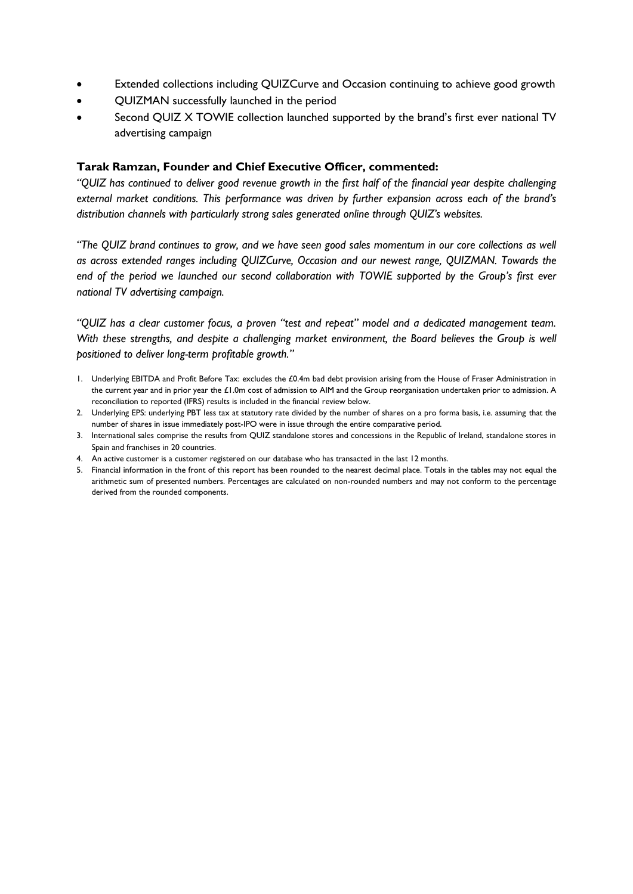- Extended collections including QUIZCurve and Occasion continuing to achieve good growth
- QUIZMAN successfully launched in the period
- Second QUIZ X TOWIE collection launched supported by the brand's first ever national TV advertising campaign

### **Tarak Ramzan, Founder and Chief Executive Officer, commented:**

*"QUIZ has continued to deliver good revenue growth in the first half of the financial year despite challenging external market conditions. This performance was driven by further expansion across each of the brand's distribution channels with particularly strong sales generated online through QUIZ's websites.* 

*"The QUIZ brand continues to grow, and we have seen good sales momentum in our core collections as well as across extended ranges including QUIZCurve, Occasion and our newest range, QUIZMAN. Towards the end of the period we launched our second collaboration with TOWIE supported by the Group's first ever national TV advertising campaign.*

*"QUIZ has a clear customer focus, a proven "test and repeat" model and a dedicated management team.*  With these strengths, and despite a challenging market environment, the Board believes the Group is well *positioned to deliver long-term profitable growth."*

- 1. Underlying EBITDA and Profit Before Tax: excludes the £0.4m bad debt provision arising from the House of Fraser Administration in the current year and in prior year the £1.0m cost of admission to AIM and the Group reorganisation undertaken prior to admission. A reconciliation to reported (IFRS) results is included in the financial review below.
- 2. Underlying EPS: underlying PBT less tax at statutory rate divided by the number of shares on a pro forma basis, i.e. assuming that the number of shares in issue immediately post-IPO were in issue through the entire comparative period.
- 3. International sales comprise the results from QUIZ standalone stores and concessions in the Republic of Ireland, standalone stores in Spain and franchises in 20 countries.
- 4. An active customer is a customer registered on our database who has transacted in the last 12 months.
- 5. Financial information in the front of this report has been rounded to the nearest decimal place. Totals in the tables may not equal the arithmetic sum of presented numbers. Percentages are calculated on non-rounded numbers and may not conform to the percentage derived from the rounded components.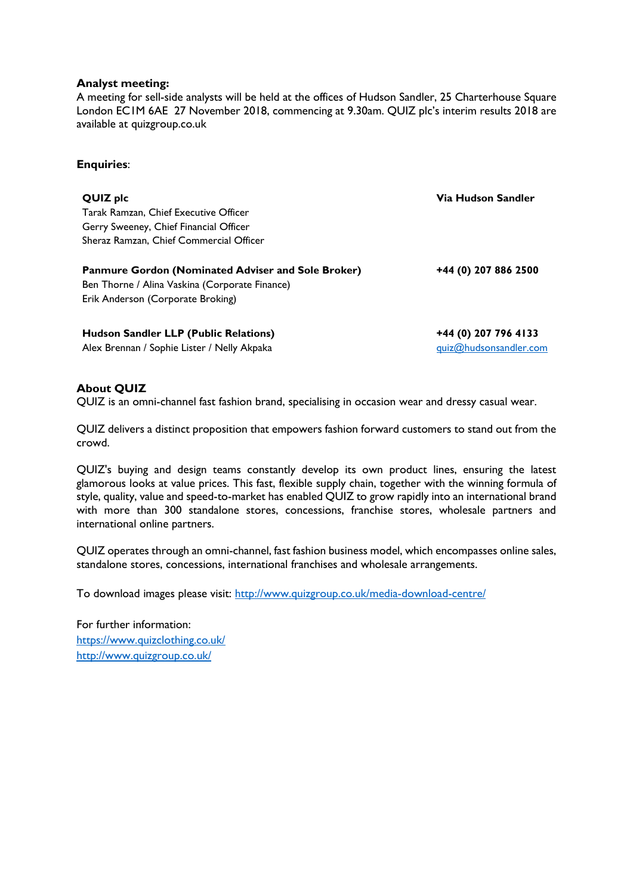### **Analyst meeting:**

A meeting for sell-side analysts will be held at the offices of Hudson Sandler, 25 Charterhouse Square London EC1M 6AE 27 November 2018, commencing at 9.30am. QUIZ plc's interim results 2018 are available at quizgroup.co.uk

### **Enquiries**:

**QUIZ plc Via Hudson Sandler** Tarak Ramzan, Chief Executive Officer Gerry Sweeney, Chief Financial Officer Sheraz Ramzan, Chief Commercial Officer **Panmure Gordon (Nominated Adviser and Sole Broker)**

Ben Thorne / Alina Vaskina (Corporate Finance) Erik Anderson (Corporate Broking)

**+44 (0) 207 886 2500**

**Hudson Sandler LLP (Public Relations) +44 (0) 207 796 4133** Alex Brennan / Sophie Lister / Nelly Akpaka duizarren and aller and suizarren [quiz@hudsonsandler.com](mailto:quiz@hudsonsandler.com)

### **About QUIZ**

QUIZ is an omni-channel fast fashion brand, specialising in occasion wear and dressy casual wear.

QUIZ delivers a distinct proposition that empowers fashion forward customers to stand out from the crowd.

QUIZ's buying and design teams constantly develop its own product lines, ensuring the latest glamorous looks at value prices. This fast, flexible supply chain, together with the winning formula of style, quality, value and speed-to-market has enabled QUIZ to grow rapidly into an international brand with more than 300 standalone stores, concessions, franchise stores, wholesale partners and international online partners.

QUIZ operates through an omni-channel, fast fashion business model, which encompasses online sales, standalone stores, concessions, international franchises and wholesale arrangements.

To download images please visit:<http://www.quizgroup.co.uk/media-download-centre/>

For further information: <https://www.quizclothing.co.uk/> <http://www.quizgroup.co.uk/>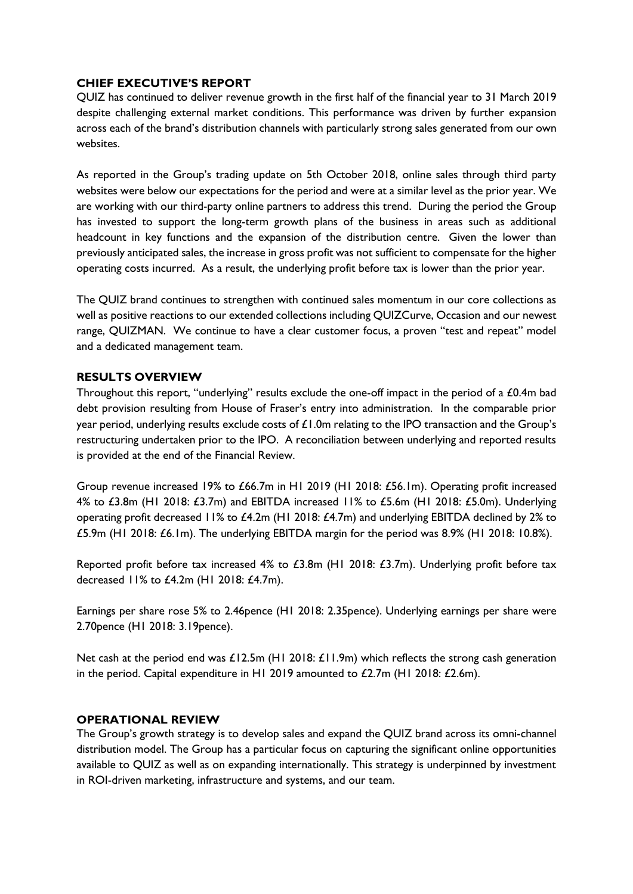### **CHIEF EXECUTIVE'S REPORT**

QUIZ has continued to deliver revenue growth in the first half of the financial year to 31 March 2019 despite challenging external market conditions. This performance was driven by further expansion across each of the brand's distribution channels with particularly strong sales generated from our own websites.

As reported in the Group's trading update on 5th October 2018, online sales through third party websites were below our expectations for the period and were at a similar level as the prior year. We are working with our third-party online partners to address this trend. During the period the Group has invested to support the long-term growth plans of the business in areas such as additional headcount in key functions and the expansion of the distribution centre. Given the lower than previously anticipated sales, the increase in gross profit was not sufficient to compensate for the higher operating costs incurred. As a result, the underlying profit before tax is lower than the prior year.

The QUIZ brand continues to strengthen with continued sales momentum in our core collections as well as positive reactions to our extended collections including QUIZCurve, Occasion and our newest range, QUIZMAN. We continue to have a clear customer focus, a proven "test and repeat" model and a dedicated management team.

### **RESULTS OVERVIEW**

Throughout this report, "underlying" results exclude the one-off impact in the period of a £0.4m bad debt provision resulting from House of Fraser's entry into administration. In the comparable prior year period, underlying results exclude costs of £1.0m relating to the IPO transaction and the Group's restructuring undertaken prior to the IPO. A reconciliation between underlying and reported results is provided at the end of the Financial Review.

Group revenue increased 19% to £66.7m in H1 2019 (H1 2018: £56.1m). Operating profit increased 4% to £3.8m (H1 2018: £3.7m) and EBITDA increased 11% to £5.6m (H1 2018: £5.0m). Underlying operating profit decreased 11% to £4.2m (H1 2018: £4.7m) and underlying EBITDA declined by 2% to £5.9m (H1 2018: £6.1m). The underlying EBITDA margin for the period was 8.9% (H1 2018: 10.8%).

Reported profit before tax increased 4% to £3.8m (H1 2018: £3.7m). Underlying profit before tax decreased 11% to £4.2m (H1 2018: £4.7m).

Earnings per share rose 5% to 2.46pence (H1 2018: 2.35pence). Underlying earnings per share were 2.70pence (H1 2018: 3.19pence).

Net cash at the period end was £12.5m (H1 2018: £11.9m) which reflects the strong cash generation in the period. Capital expenditure in H1 2019 amounted to £2.7m (H1 2018: £2.6m).

## **OPERATIONAL REVIEW**

The Group's growth strategy is to develop sales and expand the QUIZ brand across its omni-channel distribution model. The Group has a particular focus on capturing the significant online opportunities available to QUIZ as well as on expanding internationally. This strategy is underpinned by investment in ROI-driven marketing, infrastructure and systems, and our team.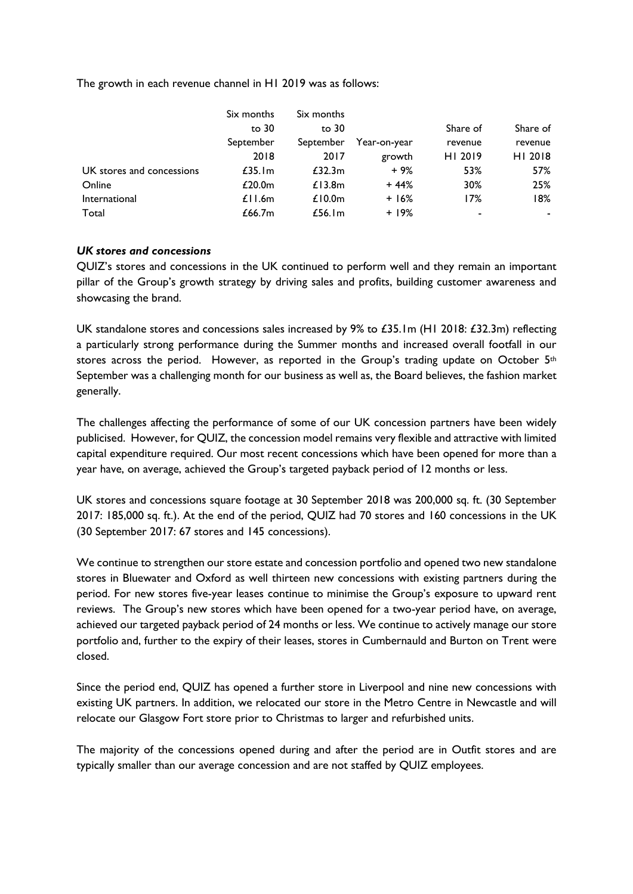The growth in each revenue channel in H1 2019 was as follows:

|                           | Six months         | Six months |              |          |          |
|---------------------------|--------------------|------------|--------------|----------|----------|
|                           | to 30              | to 30      |              | Share of | Share of |
|                           | September          | September  | Year-on-year | revenue  | revenue  |
|                           | 2018               | 2017       | growth       | HI 2019  | HI 2018  |
| UK stores and concessions | £35.1m             | £32.3m     | $+9%$        | 53%      | 57%      |
| Online                    | £20.0 <sub>m</sub> | £13.8m     | $+44%$       | 30%      | 25%      |
| International             | £11.6m             | £10.0 $m$  | $+16%$       | 17%      | 18%      |
| Total                     | £66.7m             | £56.1m     | $+19%$       |          | ۰.       |

### *UK stores and concessions*

QUIZ's stores and concessions in the UK continued to perform well and they remain an important pillar of the Group's growth strategy by driving sales and profits, building customer awareness and showcasing the brand.

UK standalone stores and concessions sales increased by 9% to £35.1m (H1 2018: £32.3m) reflecting a particularly strong performance during the Summer months and increased overall footfall in our stores across the period. However, as reported in the Group's trading update on October  $5<sup>th</sup>$ September was a challenging month for our business as well as, the Board believes, the fashion market generally.

The challenges affecting the performance of some of our UK concession partners have been widely publicised. However, for QUIZ, the concession model remains very flexible and attractive with limited capital expenditure required. Our most recent concessions which have been opened for more than a year have, on average, achieved the Group's targeted payback period of 12 months or less.

UK stores and concessions square footage at 30 September 2018 was 200,000 sq. ft. (30 September 2017: 185,000 sq. ft.). At the end of the period, QUIZ had 70 stores and 160 concessions in the UK (30 September 2017: 67 stores and 145 concessions).

We continue to strengthen our store estate and concession portfolio and opened two new standalone stores in Bluewater and Oxford as well thirteen new concessions with existing partners during the period. For new stores five-year leases continue to minimise the Group's exposure to upward rent reviews. The Group's new stores which have been opened for a two-year period have, on average, achieved our targeted payback period of 24 months or less. We continue to actively manage our store portfolio and, further to the expiry of their leases, stores in Cumbernauld and Burton on Trent were closed.

Since the period end, QUIZ has opened a further store in Liverpool and nine new concessions with existing UK partners. In addition, we relocated our store in the Metro Centre in Newcastle and will relocate our Glasgow Fort store prior to Christmas to larger and refurbished units.

The majority of the concessions opened during and after the period are in Outfit stores and are typically smaller than our average concession and are not staffed by QUIZ employees.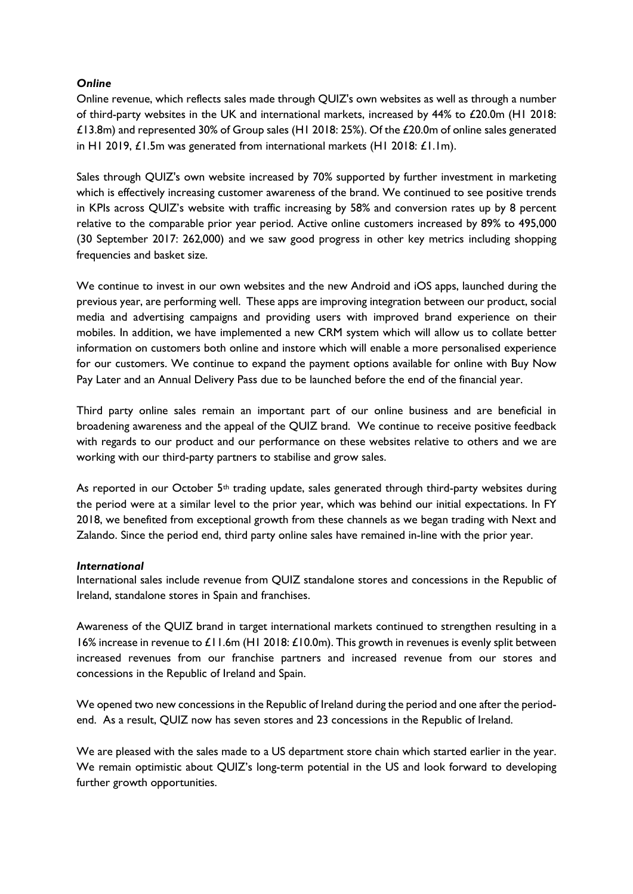## *Online*

Online revenue, which reflects sales made through QUIZ's own websites as well as through a number of third-party websites in the UK and international markets, increased by 44% to £20.0m (H1 2018: £13.8m) and represented 30% of Group sales (H1 2018: 25%). Of the £20.0m of online sales generated in H1 2019, £1.5m was generated from international markets (H1 2018: £1.1m).

Sales through QUIZ's own website increased by 70% supported by further investment in marketing which is effectively increasing customer awareness of the brand. We continued to see positive trends in KPIs across QUIZ's website with traffic increasing by 58% and conversion rates up by 8 percent relative to the comparable prior year period. Active online customers increased by 89% to 495,000 (30 September 2017: 262,000) and we saw good progress in other key metrics including shopping frequencies and basket size.

We continue to invest in our own websites and the new Android and iOS apps, launched during the previous year, are performing well. These apps are improving integration between our product, social media and advertising campaigns and providing users with improved brand experience on their mobiles. In addition, we have implemented a new CRM system which will allow us to collate better information on customers both online and instore which will enable a more personalised experience for our customers. We continue to expand the payment options available for online with Buy Now Pay Later and an Annual Delivery Pass due to be launched before the end of the financial year.

Third party online sales remain an important part of our online business and are beneficial in broadening awareness and the appeal of the QUIZ brand. We continue to receive positive feedback with regards to our product and our performance on these websites relative to others and we are working with our third-party partners to stabilise and grow sales.

As reported in our October 5<sup>th</sup> trading update, sales generated through third-party websites during the period were at a similar level to the prior year, which was behind our initial expectations. In FY 2018, we benefited from exceptional growth from these channels as we began trading with Next and Zalando. Since the period end, third party online sales have remained in-line with the prior year.

### *International*

International sales include revenue from QUIZ standalone stores and concessions in the Republic of Ireland, standalone stores in Spain and franchises.

Awareness of the QUIZ brand in target international markets continued to strengthen resulting in a 16% increase in revenue to £11.6m (H1 2018: £10.0m). This growth in revenues is evenly split between increased revenues from our franchise partners and increased revenue from our stores and concessions in the Republic of Ireland and Spain.

We opened two new concessions in the Republic of Ireland during the period and one after the periodend. As a result, QUIZ now has seven stores and 23 concessions in the Republic of Ireland.

We are pleased with the sales made to a US department store chain which started earlier in the year. We remain optimistic about QUIZ's long-term potential in the US and look forward to developing further growth opportunities.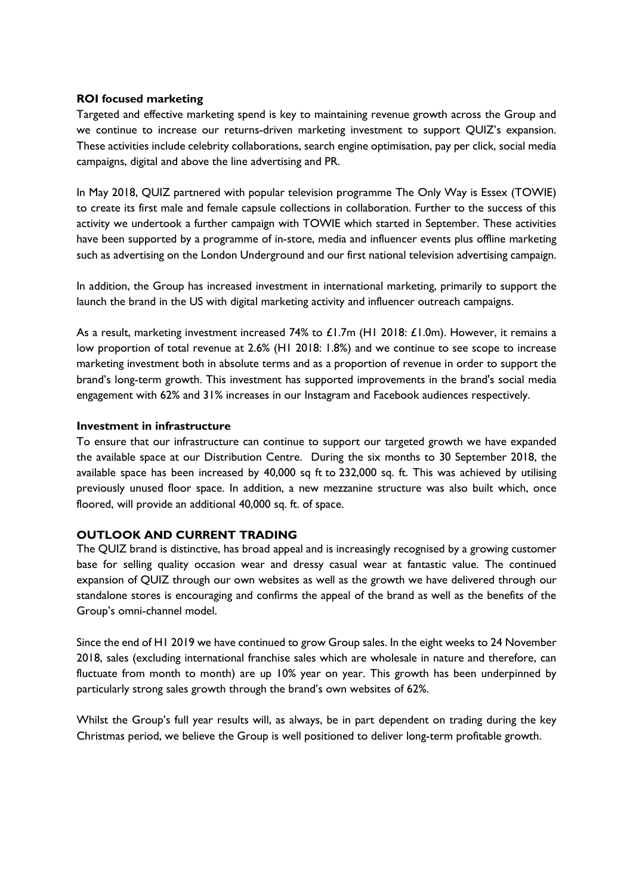### **ROI focused marketing**

Targeted and effective marketing spend is key to maintaining revenue growth across the Group and we continue to increase our returns-driven marketing investment to support QUIZ's expansion. These activities include celebrity collaborations, search engine optimisation, pay per click, social media campaigns, digital and above the line advertising and PR.

In May 2018, QUIZ partnered with popular television programme The Only Way is Essex (TOWIE) to create its first male and female capsule collections in collaboration. Further to the success of this activity we undertook a further campaign with TOWIE which started in September. These activities have been supported by a programme of in-store, media and influencer events plus offline marketing such as advertising on the London Underground and our first national television advertising campaign.

In addition, the Group has increased investment in international marketing, primarily to support the launch the brand in the US with digital marketing activity and influencer outreach campaigns.

As a result, marketing investment increased 74% to £1.7m (H1 2018: £1.0m). However, it remains a low proportion of total revenue at 2.6% (H1 2018: 1.8%) and we continue to see scope to increase marketing investment both in absolute terms and as a proportion of revenue in order to support the brand's long-term growth. This investment has supported improvements in the brand's social media engagement with 62% and 31% increases in our Instagram and Facebook audiences respectively.

### **Investment in infrastructure**

To ensure that our infrastructure can continue to support our targeted growth we have expanded the available space at our Distribution Centre. During the six months to 30 September 2018, the available space has been increased by 40,000 sq ft to 232,000 sq. ft. This was achieved by utilising previously unused floor space. In addition, a new mezzanine structure was also built which, once floored, will provide an additional 40,000 sq. ft. of space.

## **OUTLOOK AND CURRENT TRADING**

The QUIZ brand is distinctive, has broad appeal and is increasingly recognised by a growing customer base for selling quality occasion wear and dressy casual wear at fantastic value. The continued expansion of QUIZ through our own websites as well as the growth we have delivered through our standalone stores is encouraging and confirms the appeal of the brand as well as the benefits of the Group's omni-channel model.

Since the end of H1 2019 we have continued to grow Group sales. In the eight weeks to 24 November 2018, sales (excluding international franchise sales which are wholesale in nature and therefore, can fluctuate from month to month) are up 10% year on year. This growth has been underpinned by particularly strong sales growth through the brand's own websites of 62%.

Whilst the Group's full year results will, as always, be in part dependent on trading during the key Christmas period, we believe the Group is well positioned to deliver long-term profitable growth.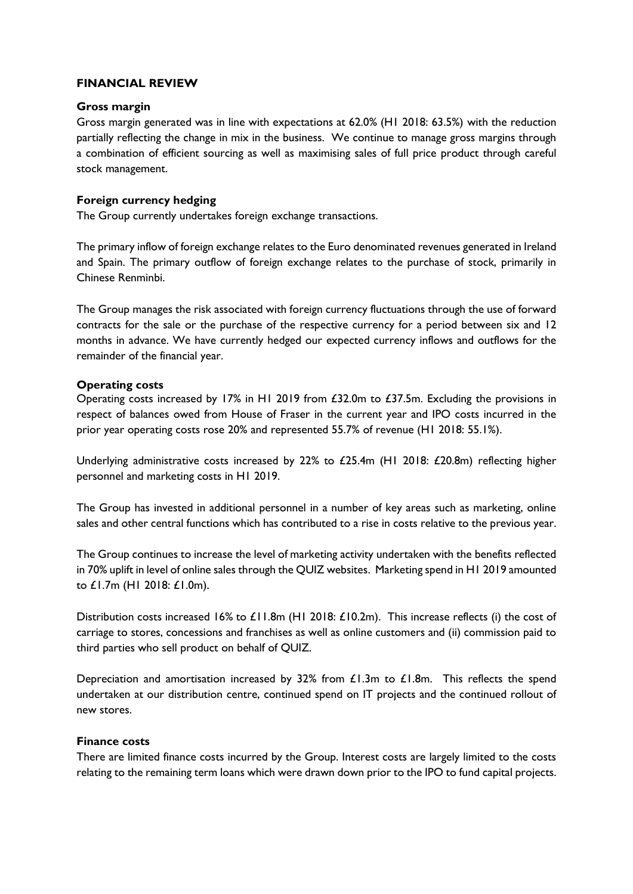### **FINANCIAL REVIEW**

### **Gross margin**

Gross margin generated was in line with expectations at 62.0% (H1 2018: 63.5%) with the reduction partially reflecting the change in mix in the business. We continue to manage gross margins through a combination of efficient sourcing as well as maximising sales of full price product through careful stock management.

### **Foreign currency hedging**

The Group currently undertakes foreign exchange transactions.

The primary inflow of foreign exchange relates to the Euro denominated revenues generated in Ireland and Spain. The primary outflow of foreign exchange relates to the purchase of stock, primarily in Chinese Renminbi.

The Group manages the risk associated with foreign currency fluctuations through the use of forward contracts for the sale or the purchase of the respective currency for a period between six and 12 months in advance. We have currently hedged our expected currency inflows and outflows for the remainder of the financial year.

### **Operating costs**

Operating costs increased by 17% in H1 2019 from £32.0m to £37.5m. Excluding the provisions in respect of balances owed from House of Fraser in the current year and IPO costs incurred in the prior year operating costs rose 20% and represented 55.7% of revenue (H1 2018: 55.1%).

Underlying administrative costs increased by 22% to £25.4m (H1 2018: £20.8m) reflecting higher personnel and marketing costs in H1 2019.

The Group has invested in additional personnel in a number of key areas such as marketing, online sales and other central functions which has contributed to a rise in costs relative to the previous year.

The Group continues to increase the level of marketing activity undertaken with the benefits reflected in 70% uplift in level of online sales through the QUIZ websites. Marketing spend in H1 2019 amounted to £1.7m (H1 2018: £1.0m).

Distribution costs increased 16% to £11.8m (H1 2018: £10.2m). This increase reflects (i) the cost of carriage to stores, concessions and franchises as well as online customers and (ii) commission paid to third parties who sell product on behalf of QUIZ.

Depreciation and amortisation increased by 32% from £1.3m to £1.8m. This reflects the spend undertaken at our distribution centre, continued spend on IT projects and the continued rollout of new stores.

### **Finance costs**

There are limited finance costs incurred by the Group. Interest costs are largely limited to the costs relating to the remaining term loans which were drawn down prior to the IPO to fund capital projects.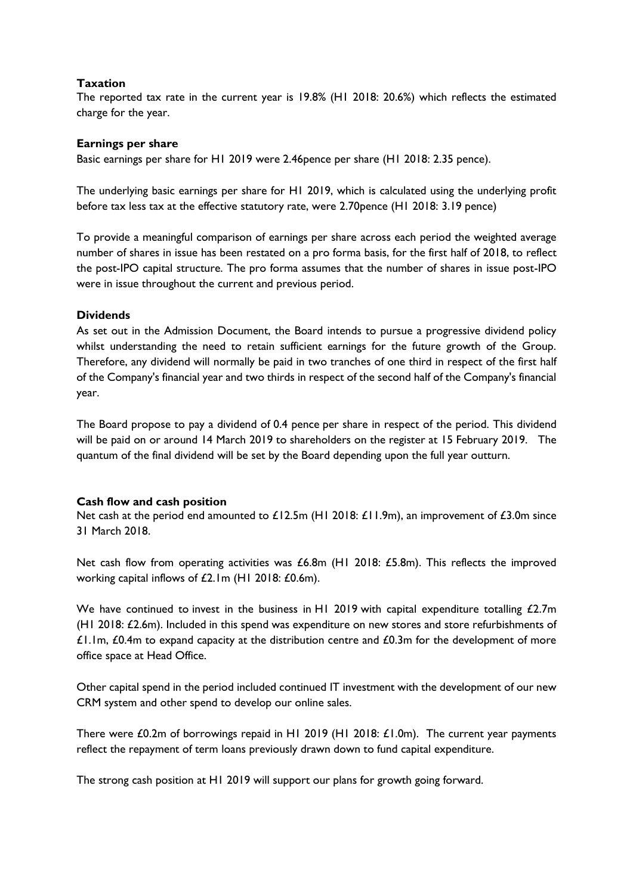### **Taxation**

The reported tax rate in the current year is 19.8% (H1 2018: 20.6%) which reflects the estimated charge for the year.

### **Earnings per share**

Basic earnings per share for H1 2019 were 2.46pence per share (H1 2018: 2.35 pence).

The underlying basic earnings per share for H1 2019, which is calculated using the underlying profit before tax less tax at the effective statutory rate, were 2.70pence (H1 2018: 3.19 pence)

To provide a meaningful comparison of earnings per share across each period the weighted average number of shares in issue has been restated on a pro forma basis, for the first half of 2018, to reflect the post-IPO capital structure. The pro forma assumes that the number of shares in issue post-IPO were in issue throughout the current and previous period.

### **Dividends**

As set out in the Admission Document, the Board intends to pursue a progressive dividend policy whilst understanding the need to retain sufficient earnings for the future growth of the Group. Therefore, any dividend will normally be paid in two tranches of one third in respect of the first half of the Company's financial year and two thirds in respect of the second half of the Company's financial year.

The Board propose to pay a dividend of 0.4 pence per share in respect of the period. This dividend will be paid on or around 14 March 2019 to shareholders on the register at 15 February 2019. The quantum of the final dividend will be set by the Board depending upon the full year outturn.

### **Cash flow and cash position**

Net cash at the period end amounted to £12.5m (H1 2018: £11.9m), an improvement of £3.0m since 31 March 2018.

Net cash flow from operating activities was £6.8m (H1 2018: £5.8m). This reflects the improved working capital inflows of £2.1m (H1 2018: £0.6m).

We have continued to invest in the business in H1 2019 with capital expenditure totalling £2.7m (H1 2018: £2.6m). Included in this spend was expenditure on new stores and store refurbishments of  $£1.1m, £0.4m$  to expand capacity at the distribution centre and  $£0.3m$  for the development of more office space at Head Office.

Other capital spend in the period included continued IT investment with the development of our new CRM system and other spend to develop our online sales.

There were £0.2m of borrowings repaid in H1 2019 (H1 2018: £1.0m). The current year payments reflect the repayment of term loans previously drawn down to fund capital expenditure.

The strong cash position at H1 2019 will support our plans for growth going forward.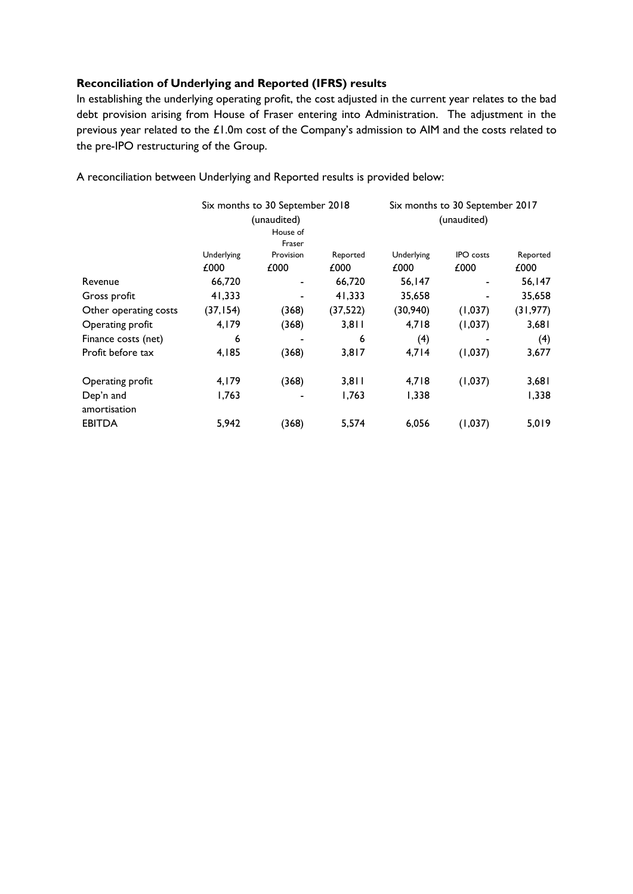### **Reconciliation of Underlying and Reported (IFRS) results**

In establishing the underlying operating profit, the cost adjusted in the current year relates to the bad debt provision arising from House of Fraser entering into Administration. The adjustment in the previous year related to the £1.0m cost of the Company's admission to AIM and the costs related to the pre-IPO restructuring of the Group.

|                       |            | Six months to 30 September 2018<br>(unaudited) |           |            | Six months to 30 September 2017<br>(unaudited) |           |
|-----------------------|------------|------------------------------------------------|-----------|------------|------------------------------------------------|-----------|
|                       |            | House of<br>Fraser                             |           |            |                                                |           |
|                       | Underlying | Provision                                      | Reported  | Underlying | <b>IPO</b> costs                               | Reported  |
|                       | £000       | £000                                           | £000      | £000       | £000                                           | £000      |
| Revenue               | 66,720     |                                                | 66,720    | 56,147     |                                                | 56,147    |
| Gross profit          | 41,333     |                                                | 41,333    | 35,658     |                                                | 35,658    |
| Other operating costs | (37, 154)  | (368)                                          | (37, 522) | (30, 940)  | (1,037)                                        | (31, 977) |
| Operating profit      | 4,179      | (368)                                          | 3,811     | 4,718      | (1,037)                                        | 3,681     |
| Finance costs (net)   | 6          |                                                | 6         | (4)        |                                                | (4)       |
| Profit before tax     | 4,185      | (368)                                          | 3,817     | 4,714      | (1,037)                                        | 3,677     |
| Operating profit      | 4,179      | (368)                                          | 3,811     | 4,718      | (1,037)                                        | 3,681     |
| Dep'n and             | 1,763      |                                                | 1,763     | 1,338      |                                                | 1,338     |
| amortisation          |            |                                                |           |            |                                                |           |
| <b>EBITDA</b>         | 5,942      | (368)                                          | 5,574     | 6,056      | (1,037)                                        | 5,019     |

A reconciliation between Underlying and Reported results is provided below: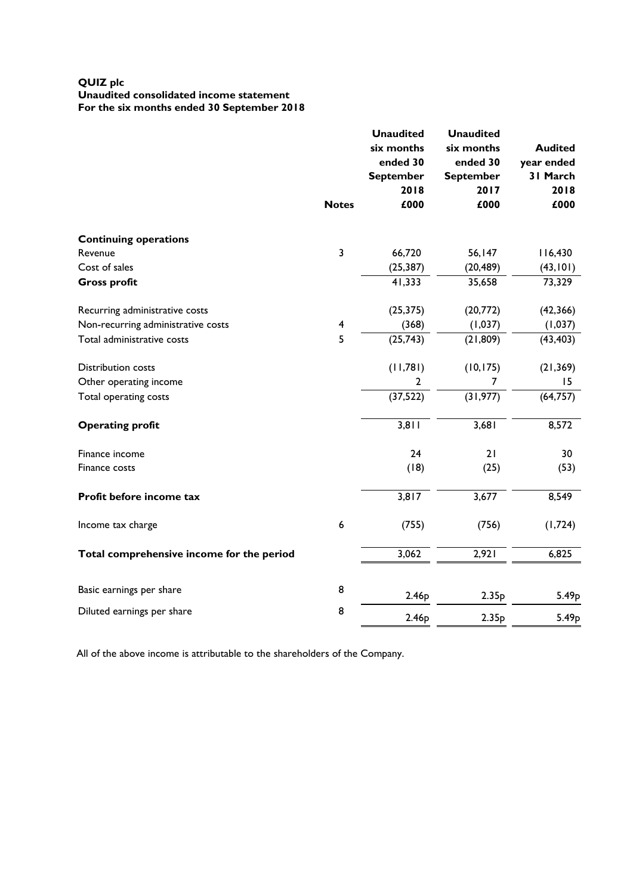#### **QUIZ plc Unaudited consolidated income statement For the six months ended 30 September 2018**

|                                           | <b>Notes</b>     | <b>Unaudited</b><br>six months<br>ended 30<br><b>September</b><br>2018<br>£000 | <b>Unaudited</b><br>six months<br>ended 30<br><b>September</b><br>2017<br>£000 | <b>Audited</b><br>year ended<br>31 March<br>2018<br>£000 |
|-------------------------------------------|------------------|--------------------------------------------------------------------------------|--------------------------------------------------------------------------------|----------------------------------------------------------|
| <b>Continuing operations</b>              |                  |                                                                                |                                                                                |                                                          |
| Revenue                                   | 3                | 66,720                                                                         | 56,147                                                                         | 116,430                                                  |
| Cost of sales                             |                  | (25, 387)                                                                      | (20, 489)                                                                      | (43, 101)                                                |
| <b>Gross profit</b>                       |                  | 41,333                                                                         | 35,658                                                                         | 73,329                                                   |
| Recurring administrative costs            |                  | (25, 375)                                                                      | (20,772)                                                                       | (42, 366)                                                |
| Non-recurring administrative costs        | 4                | (368)                                                                          | (1,037)                                                                        | (1,037)                                                  |
| Total administrative costs                | 5                | (25, 743)                                                                      | (21, 809)                                                                      | (43, 403)                                                |
| <b>Distribution costs</b>                 |                  | (11,781)                                                                       | (10, 175)                                                                      | (21, 369)                                                |
| Other operating income                    |                  | 2                                                                              | 7                                                                              | 15                                                       |
| Total operating costs                     |                  | (37, 522)                                                                      | (31, 977)                                                                      | (64, 757)                                                |
| <b>Operating profit</b>                   |                  | 3,811                                                                          | 3,681                                                                          | 8,572                                                    |
| Finance income                            |                  | 24                                                                             | 21                                                                             | 30                                                       |
| Finance costs                             |                  | (18)                                                                           | (25)                                                                           | (53)                                                     |
| Profit before income tax                  |                  | 3,817                                                                          | 3,677                                                                          | 8,549                                                    |
| Income tax charge                         | $\boldsymbol{6}$ | (755)                                                                          | (756)                                                                          | (1,724)                                                  |
| Total comprehensive income for the period |                  | 3,062                                                                          | 2,921                                                                          | 6,825                                                    |
| Basic earnings per share                  | 8                | 2.46p                                                                          | 2.35p                                                                          | 5.49 <sub>p</sub>                                        |
| Diluted earnings per share                | 8                | 2.46 <sub>p</sub>                                                              | 2.35p                                                                          | 5.49 <sub>p</sub>                                        |

All of the above income is attributable to the shareholders of the Company.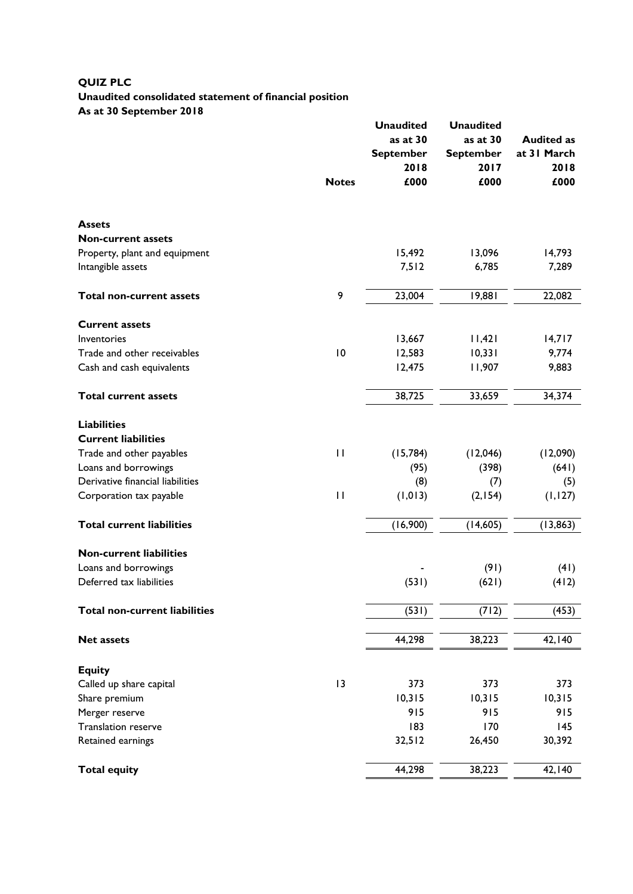# **QUIZ PLC Unaudited consolidated statement of financial position As at 30 September 2018**

|                                      |              | <b>Unaudited</b><br>as at 30<br><b>September</b><br>2018 | <b>Unaudited</b><br>as at 30<br><b>September</b><br>2017 | <b>Audited as</b><br>at 31 March<br>2018 |
|--------------------------------------|--------------|----------------------------------------------------------|----------------------------------------------------------|------------------------------------------|
|                                      | <b>Notes</b> | £000                                                     | £000                                                     | £000                                     |
| <b>Assets</b>                        |              |                                                          |                                                          |                                          |
| <b>Non-current assets</b>            |              |                                                          |                                                          |                                          |
| Property, plant and equipment        |              | 15,492                                                   | 13,096                                                   | 14,793                                   |
| Intangible assets                    |              | 7,512                                                    | 6,785                                                    | 7,289                                    |
| <b>Total non-current assets</b>      | 9            | 23,004                                                   | 19,881                                                   | 22,082                                   |
| <b>Current assets</b>                |              |                                                          |                                                          |                                          |
| Inventories                          |              | 13,667                                                   | 11,421                                                   | 14,717                                   |
| Trade and other receivables          | 10           | 12,583                                                   | 10,331                                                   | 9,774                                    |
| Cash and cash equivalents            |              | 12,475                                                   | 11,907                                                   | 9,883                                    |
| <b>Total current assets</b>          |              | 38,725                                                   | 33,659                                                   | 34,374                                   |
| <b>Liabilities</b>                   |              |                                                          |                                                          |                                          |
| <b>Current liabilities</b>           |              |                                                          |                                                          |                                          |
| Trade and other payables             | $\mathbf{H}$ | (15, 784)                                                | (12,046)                                                 | (12,090)                                 |
| Loans and borrowings                 |              | (95)                                                     | (398)                                                    | (641)                                    |
| Derivative financial liabilities     |              | (8)                                                      | (7)                                                      | (5)                                      |
| Corporation tax payable              | $\mathbf{H}$ | (1, 013)                                                 | (2, 154)                                                 | (1, 127)                                 |
| <b>Total current liabilities</b>     |              | (16,900)                                                 | (14,605)                                                 | (13, 863)                                |
| <b>Non-current liabilities</b>       |              |                                                          |                                                          |                                          |
| Loans and borrowings                 |              |                                                          | (91)                                                     | (41)                                     |
| Deferred tax liabilities             |              | (531)                                                    | (621)                                                    | (412)                                    |
| <b>Total non-current liabilities</b> |              | (531)                                                    | (712)                                                    | (453)                                    |
| <b>Net assets</b>                    |              | 44,298                                                   | 38,223                                                   | 42,140                                   |
| <b>Equity</b>                        |              |                                                          |                                                          |                                          |
| Called up share capital              | 13           | 373                                                      | 373                                                      | 373                                      |
| Share premium                        |              | 10,315                                                   | 10,315                                                   | 10,315                                   |
| Merger reserve                       |              | 915                                                      | 915                                                      | 915                                      |
| Translation reserve                  |              | 183                                                      | 170                                                      | 145                                      |
| Retained earnings                    |              | 32,512                                                   | 26,450                                                   | 30,392                                   |
| <b>Total equity</b>                  |              | 44,298                                                   | 38,223                                                   | 42,140                                   |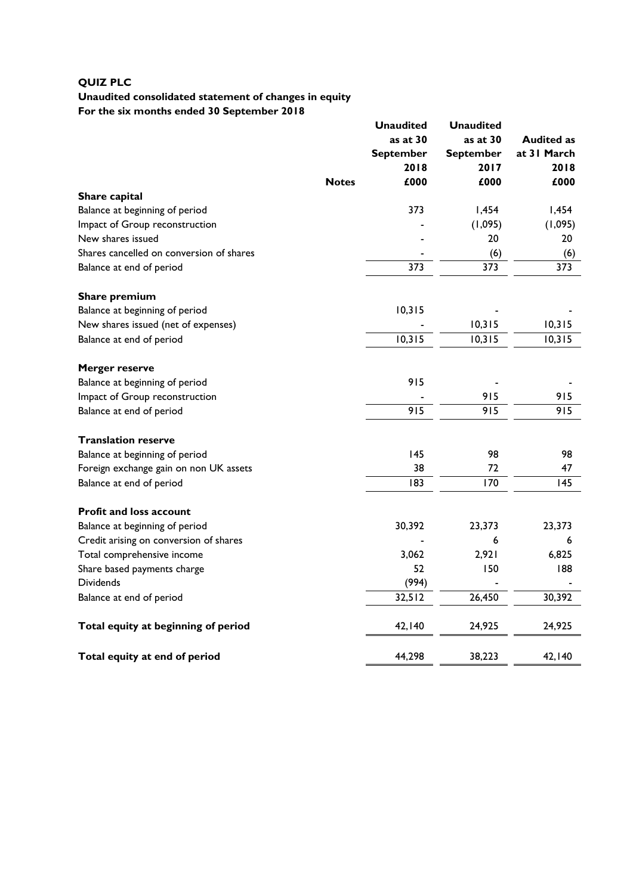# **QUIZ PLC**

# **Unaudited consolidated statement of changes in equity For the six months ended 30 September 2018**

|                                          |              | <b>Unaudited</b><br>as at $30$<br><b>September</b><br>2018 | <b>Unaudited</b><br>as at 30<br><b>September</b><br>2017 | <b>Audited as</b><br>at 31 March<br>2018 |
|------------------------------------------|--------------|------------------------------------------------------------|----------------------------------------------------------|------------------------------------------|
|                                          | <b>Notes</b> | £000                                                       | £000                                                     | £000                                     |
| Share capital                            |              |                                                            |                                                          |                                          |
| Balance at beginning of period           |              | 373                                                        | 1,454                                                    | 1,454                                    |
| Impact of Group reconstruction           |              |                                                            | (1,095)                                                  | (1,095)                                  |
| New shares issued                        |              |                                                            | 20                                                       | 20                                       |
| Shares cancelled on conversion of shares |              |                                                            | (6)                                                      | (6)                                      |
| Balance at end of period                 |              | 373                                                        | 373                                                      | 373                                      |
| Share premium                            |              |                                                            |                                                          |                                          |
| Balance at beginning of period           |              | 10,315                                                     |                                                          |                                          |
| New shares issued (net of expenses)      |              |                                                            | 10,315                                                   | 10,315                                   |
| Balance at end of period                 |              | 10,315                                                     | 10,315                                                   | 10,315                                   |
| <b>Merger reserve</b>                    |              |                                                            |                                                          |                                          |
| Balance at beginning of period           |              | 915                                                        |                                                          |                                          |
| Impact of Group reconstruction           |              |                                                            | 915                                                      | 915                                      |
| Balance at end of period                 |              | 915                                                        | 915                                                      | 915                                      |
| <b>Translation reserve</b>               |              |                                                            |                                                          |                                          |
| Balance at beginning of period           |              | 145                                                        | 98                                                       | 98                                       |
| Foreign exchange gain on non UK assets   |              | 38                                                         | 72                                                       | 47                                       |
| Balance at end of period                 |              | 183                                                        | 170                                                      | 145                                      |
| <b>Profit and loss account</b>           |              |                                                            |                                                          |                                          |
| Balance at beginning of period           |              | 30,392                                                     | 23,373                                                   | 23,373                                   |
| Credit arising on conversion of shares   |              |                                                            | 6                                                        | 6                                        |
| Total comprehensive income               |              | 3,062                                                      | 2,921                                                    | 6,825                                    |
| Share based payments charge              |              | 52                                                         | 150                                                      | 188                                      |
| Dividends                                |              | (994)                                                      |                                                          |                                          |
| Balance at end of period                 |              | 32,512                                                     | 26,450                                                   | 30,392                                   |
| Total equity at beginning of period      |              | 42,140                                                     | 24,925                                                   | 24,925                                   |
| Total equity at end of period            |              | 44,298                                                     | 38,223                                                   | 42,140                                   |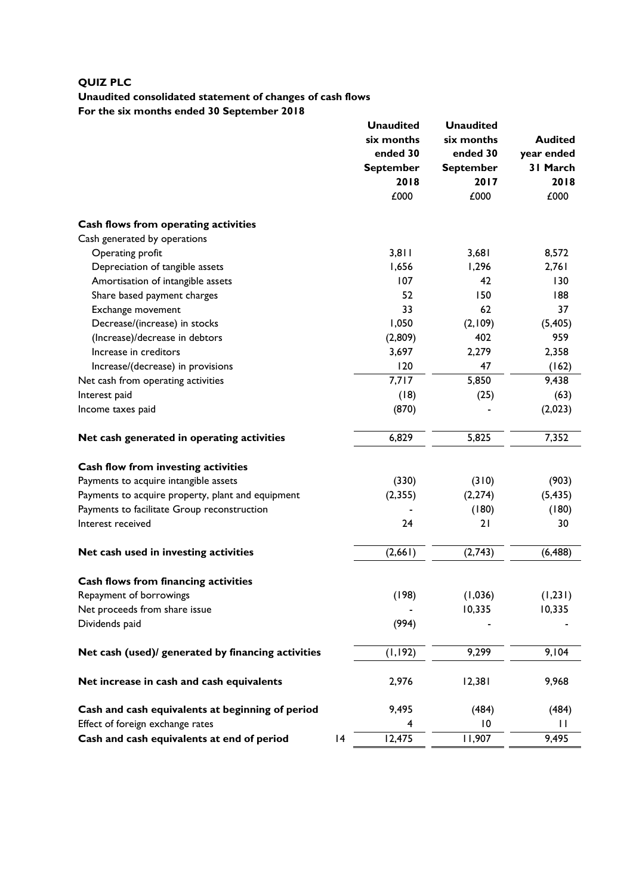# **QUIZ PLC**

# **Unaudited consolidated statement of changes of cash flows For the six months ended 30 September 2018**

|                                                    |   | <b>Unaudited</b>             | <b>Unaudited</b> |                |  |
|----------------------------------------------------|---|------------------------------|------------------|----------------|--|
|                                                    |   | six months                   | six months       | <b>Audited</b> |  |
|                                                    |   | ended 30<br><b>September</b> | ended 30         | year ended     |  |
|                                                    |   |                              | <b>September</b> | 31 March       |  |
|                                                    |   | 2018                         | 2017             | 2018           |  |
|                                                    |   | £000                         | £000             | £000           |  |
| Cash flows from operating activities               |   |                              |                  |                |  |
| Cash generated by operations                       |   |                              |                  |                |  |
| Operating profit                                   |   | 3,811                        | 3,681            | 8,572          |  |
| Depreciation of tangible assets                    |   | 1,656                        | 1,296            | 2,761          |  |
| Amortisation of intangible assets                  |   | 107                          | 42               | 130            |  |
| Share based payment charges                        |   | 52                           | 150              | 188            |  |
| Exchange movement                                  |   | 33                           | 62               | 37             |  |
| Decrease/(increase) in stocks                      |   | 1,050                        | (2,109)          | (5,405)        |  |
| (Increase)/decrease in debtors                     |   | (2,809)                      | 402              | 959            |  |
| Increase in creditors                              |   | 3,697                        | 2,279            | 2,358          |  |
| Increase/(decrease) in provisions                  |   | 120                          | 47               | (162)          |  |
| Net cash from operating activities                 |   | 7,717                        | 5,850            | 9,438          |  |
| Interest paid                                      |   | (18)                         | (25)             | (63)           |  |
| Income taxes paid                                  |   | (870)                        |                  | (2,023)        |  |
| Net cash generated in operating activities         |   | 6,829                        | 5,825            | 7,352          |  |
| Cash flow from investing activities                |   |                              |                  |                |  |
| Payments to acquire intangible assets              |   | (330)                        | (310)            | (903)          |  |
| Payments to acquire property, plant and equipment  |   | (2, 355)                     | (2, 274)         | (5, 435)       |  |
| Payments to facilitate Group reconstruction        |   |                              | (180)            | (180)          |  |
| Interest received                                  |   | 24                           | 21               | 30             |  |
| Net cash used in investing activities              |   | (2,661)                      | (2,743)          | (6, 488)       |  |
| Cash flows from financing activities               |   |                              |                  |                |  |
| Repayment of borrowings                            |   | (198)                        | (1,036)          | (1, 231)       |  |
| Net proceeds from share issue                      |   |                              | 10,335           | 10,335         |  |
| Dividends paid                                     |   | (994)                        |                  |                |  |
| Net cash (used)/ generated by financing activities |   | (1, 192)                     | 9,299            | 9,104          |  |
|                                                    |   |                              |                  |                |  |
| Net increase in cash and cash equivalents          |   | 2,976                        | 12,381           | 9,968          |  |
| Cash and cash equivalents at beginning of period   |   | 9,495                        | (484)            | (484)          |  |
| Effect of foreign exchange rates                   |   | 4                            | $\overline{10}$  | $\mathbf{H}$   |  |
| Cash and cash equivalents at end of period         | 4 | 12,475                       | 11,907           | 9,495          |  |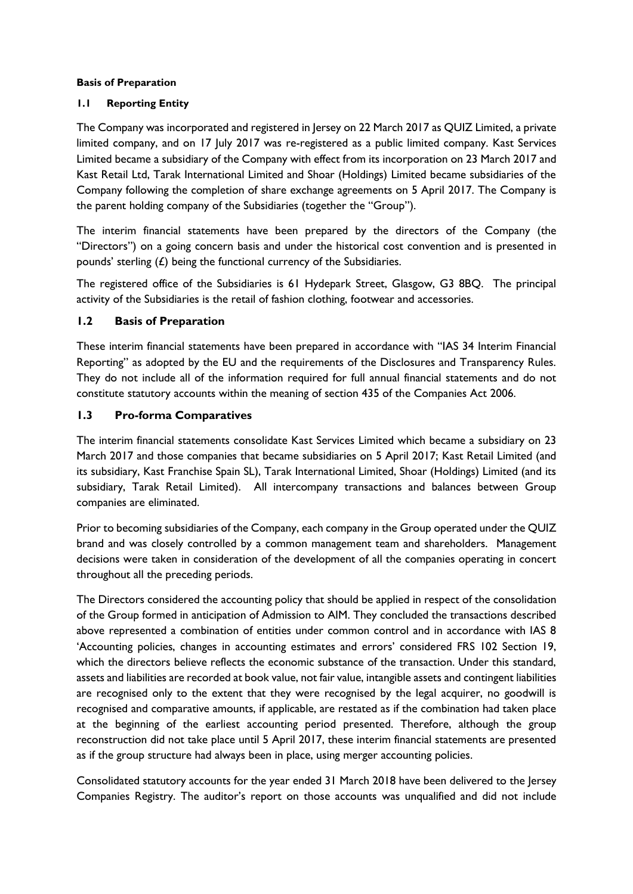### **Basis of Preparation**

## **1.1 Reporting Entity**

The Company was incorporated and registered in Jersey on 22 March 2017 as QUIZ Limited, a private limited company, and on 17 July 2017 was re-registered as a public limited company. Kast Services Limited became a subsidiary of the Company with effect from its incorporation on 23 March 2017 and Kast Retail Ltd, Tarak International Limited and Shoar (Holdings) Limited became subsidiaries of the Company following the completion of share exchange agreements on 5 April 2017. The Company is the parent holding company of the Subsidiaries (together the "Group").

The interim financial statements have been prepared by the directors of the Company (the "Directors") on a going concern basis and under the historical cost convention and is presented in pounds' sterling  $(E)$  being the functional currency of the Subsidiaries.

The registered office of the Subsidiaries is 61 Hydepark Street, Glasgow, G3 8BQ. The principal activity of the Subsidiaries is the retail of fashion clothing, footwear and accessories.

## **1.2 Basis of Preparation**

These interim financial statements have been prepared in accordance with "IAS 34 Interim Financial Reporting" as adopted by the EU and the requirements of the Disclosures and Transparency Rules. They do not include all of the information required for full annual financial statements and do not constitute statutory accounts within the meaning of section 435 of the Companies Act 2006.

### **1.3 Pro-forma Comparatives**

The interim financial statements consolidate Kast Services Limited which became a subsidiary on 23 March 2017 and those companies that became subsidiaries on 5 April 2017; Kast Retail Limited (and its subsidiary, Kast Franchise Spain SL), Tarak International Limited, Shoar (Holdings) Limited (and its subsidiary, Tarak Retail Limited). All intercompany transactions and balances between Group companies are eliminated.

Prior to becoming subsidiaries of the Company, each company in the Group operated under the QUIZ brand and was closely controlled by a common management team and shareholders. Management decisions were taken in consideration of the development of all the companies operating in concert throughout all the preceding periods.

The Directors considered the accounting policy that should be applied in respect of the consolidation of the Group formed in anticipation of Admission to AIM. They concluded the transactions described above represented a combination of entities under common control and in accordance with IAS 8 'Accounting policies, changes in accounting estimates and errors' considered FRS 102 Section 19, which the directors believe reflects the economic substance of the transaction. Under this standard, assets and liabilities are recorded at book value, not fair value, intangible assets and contingent liabilities are recognised only to the extent that they were recognised by the legal acquirer, no goodwill is recognised and comparative amounts, if applicable, are restated as if the combination had taken place at the beginning of the earliest accounting period presented. Therefore, although the group reconstruction did not take place until 5 April 2017, these interim financial statements are presented as if the group structure had always been in place, using merger accounting policies.

Consolidated statutory accounts for the year ended 31 March 2018 have been delivered to the Jersey Companies Registry. The auditor's report on those accounts was unqualified and did not include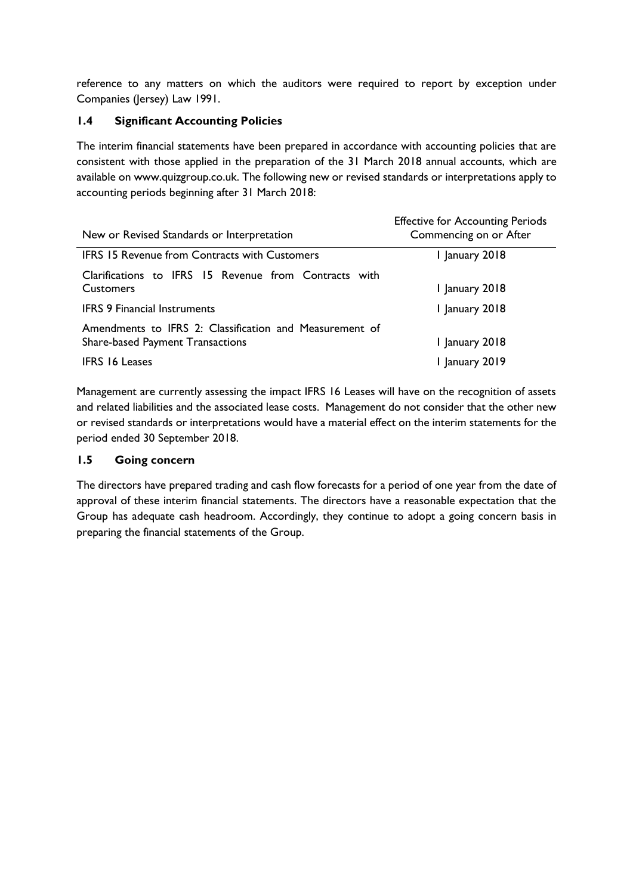reference to any matters on which the auditors were required to report by exception under Companies (Jersey) Law 1991.

# **1.4 Significant Accounting Policies**

The interim financial statements have been prepared in accordance with accounting policies that are consistent with those applied in the preparation of the 31 March 2018 annual accounts, which are available on www.quizgroup.co.uk. The following new or revised standards or interpretations apply to accounting periods beginning after 31 March 2018:

| New or Revised Standards or Interpretation              | <b>Effective for Accounting Periods</b><br>Commencing on or After |
|---------------------------------------------------------|-------------------------------------------------------------------|
| <b>IFRS 15 Revenue from Contracts with Customers</b>    | January 2018                                                      |
| Clarifications to IFRS 15 Revenue from Contracts with   |                                                                   |
| <b>Customers</b>                                        | 1 January 2018                                                    |
| <b>IFRS 9 Financial Instruments</b>                     | 1 January 2018                                                    |
| Amendments to IFRS 2: Classification and Measurement of |                                                                   |
| <b>Share-based Payment Transactions</b>                 | 1 January 2018                                                    |
| <b>IFRS 16 Leases</b>                                   | January 2019                                                      |

Management are currently assessing the impact IFRS 16 Leases will have on the recognition of assets and related liabilities and the associated lease costs. Management do not consider that the other new or revised standards or interpretations would have a material effect on the interim statements for the period ended 30 September 2018.

## **1.5 Going concern**

The directors have prepared trading and cash flow forecasts for a period of one year from the date of approval of these interim financial statements. The directors have a reasonable expectation that the Group has adequate cash headroom. Accordingly, they continue to adopt a going concern basis in preparing the financial statements of the Group.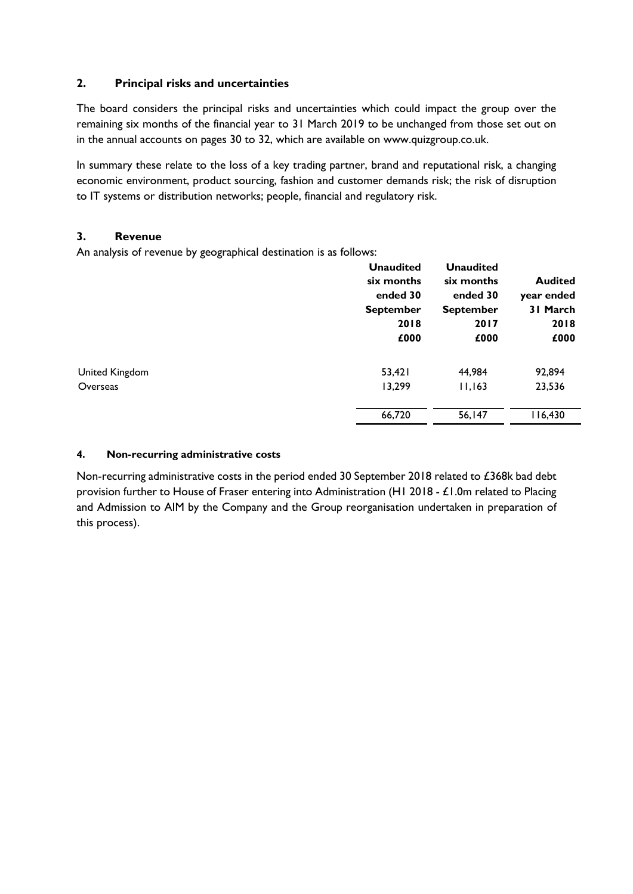## **2. Principal risks and uncertainties**

The board considers the principal risks and uncertainties which could impact the group over the remaining six months of the financial year to 31 March 2019 to be unchanged from those set out on in the annual accounts on pages 30 to 32, which are available on www.quizgroup.co.uk.

In summary these relate to the loss of a key trading partner, brand and reputational risk, a changing economic environment, product sourcing, fashion and customer demands risk; the risk of disruption to IT systems or distribution networks; people, financial and regulatory risk.

## **3. Revenue**

An analysis of revenue by geographical destination is as follows:

|                | <b>Unaudited</b> | <b>Unaudited</b> |                |
|----------------|------------------|------------------|----------------|
|                | six months       | six months       | <b>Audited</b> |
|                | ended 30         | ended 30         | year ended     |
|                | <b>September</b> | <b>September</b> | 31 March       |
|                | 2018             | 2017             | 2018           |
|                | £000             | £000             | £000           |
| United Kingdom | 53,421           | 44,984           | 92,894         |
| Overseas       | 13,299           | 11,163           | 23,536         |
|                | 66,720           | 56,147           | 116,430        |
|                |                  |                  |                |

## **4. Non-recurring administrative costs**

Non-recurring administrative costs in the period ended 30 September 2018 related to £368k bad debt provision further to House of Fraser entering into Administration (H1 2018 - £1.0m related to Placing and Admission to AIM by the Company and the Group reorganisation undertaken in preparation of this process).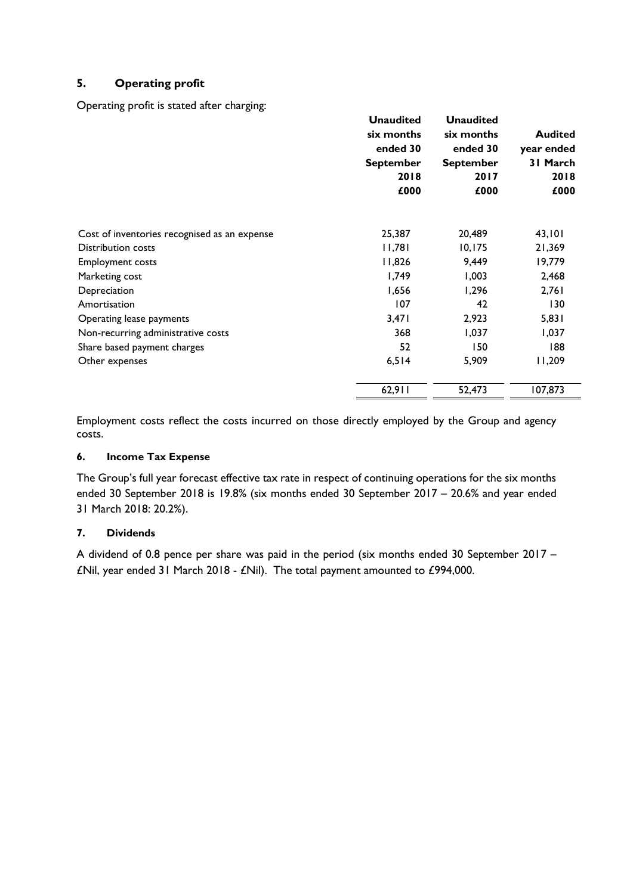# **5. Operating profit**

Operating profit is stated after charging:

|                                              | <b>Unaudited</b><br>six months<br>ended 30<br><b>September</b><br>2018<br>£000 | <b>Unaudited</b><br>six months<br>ended 30<br><b>September</b><br>2017<br>£000 | <b>Audited</b><br>year ended<br>31 March<br>2018<br>£000 |
|----------------------------------------------|--------------------------------------------------------------------------------|--------------------------------------------------------------------------------|----------------------------------------------------------|
| Cost of inventories recognised as an expense | 25,387                                                                         | 20,489                                                                         | 43,101                                                   |
| <b>Distribution costs</b>                    | 11,781                                                                         | 10, 175                                                                        | 21,369                                                   |
| <b>Employment costs</b>                      | 11,826                                                                         | 9,449                                                                          | 19,779                                                   |
| Marketing cost                               | 1,749                                                                          | 1,003                                                                          | 2,468                                                    |
| Depreciation                                 | 1,656                                                                          | 1,296                                                                          | 2,761                                                    |
| Amortisation                                 | 107                                                                            | 42                                                                             | 130                                                      |
| Operating lease payments                     | 3,471                                                                          | 2,923                                                                          | 5,831                                                    |
| Non-recurring administrative costs           | 368                                                                            | 1,037                                                                          | 1,037                                                    |
| Share based payment charges                  | 52                                                                             | 150                                                                            | 188                                                      |
| Other expenses                               | 6,514                                                                          | 5,909                                                                          | 11,209                                                   |
|                                              | 62,911                                                                         | 52,473                                                                         | 107,873                                                  |

Employment costs reflect the costs incurred on those directly employed by the Group and agency costs.

### **6. Income Tax Expense**

The Group's full year forecast effective tax rate in respect of continuing operations for the six months ended 30 September 2018 is 19.8% (six months ended 30 September 2017 – 20.6% and year ended 31 March 2018: 20.2%).

### **7. Dividends**

A dividend of 0.8 pence per share was paid in the period (six months ended 30 September 2017 – £Nil, year ended 31 March 2018 - £Nil). The total payment amounted to £994,000.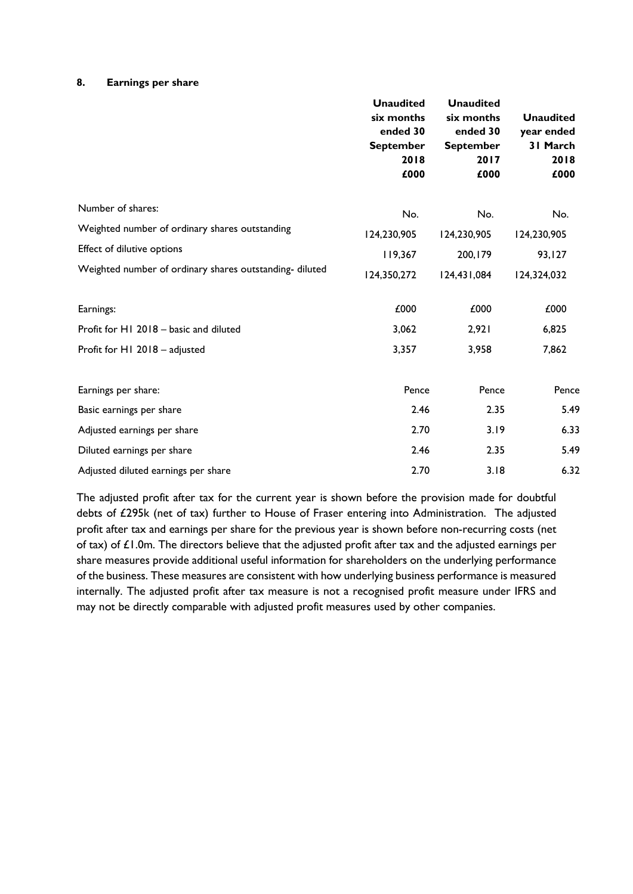#### **8. Earnings per share**

|                                                         | <b>Unaudited</b><br>six months<br>ended 30<br><b>September</b><br>2018<br>£000 | <b>Unaudited</b><br>six months<br>ended 30<br><b>September</b><br>2017<br>£000 | <b>Unaudited</b><br>year ended<br>31 March<br>2018<br>£000 |
|---------------------------------------------------------|--------------------------------------------------------------------------------|--------------------------------------------------------------------------------|------------------------------------------------------------|
| Number of shares:                                       | No.                                                                            | No.                                                                            | No.                                                        |
| Weighted number of ordinary shares outstanding          | 124,230,905                                                                    | 124,230,905                                                                    | 124,230,905                                                |
| Effect of dilutive options                              | 119,367                                                                        | 200, 179                                                                       | 93,127                                                     |
| Weighted number of ordinary shares outstanding- diluted | 124,350,272                                                                    | 124,431,084                                                                    | 124,324,032                                                |
| Earnings:                                               | £000                                                                           | £000                                                                           | £000                                                       |
| Profit for H1 2018 - basic and diluted                  | 3,062                                                                          | 2,921                                                                          | 6,825                                                      |
| Profit for H1 2018 - adjusted                           | 3,357                                                                          | 3,958                                                                          | 7,862                                                      |
| Earnings per share:                                     | Pence                                                                          | Pence                                                                          | Pence                                                      |
| Basic earnings per share                                | 2.46                                                                           | 2.35                                                                           | 5.49                                                       |
| Adjusted earnings per share                             | 2.70                                                                           | 3.19                                                                           | 6.33                                                       |
| Diluted earnings per share                              | 2.46                                                                           | 2.35                                                                           | 5.49                                                       |
| Adjusted diluted earnings per share                     | 2.70                                                                           | 3.18                                                                           | 6.32                                                       |

The adjusted profit after tax for the current year is shown before the provision made for doubtful debts of £295k (net of tax) further to House of Fraser entering into Administration. The adjusted profit after tax and earnings per share for the previous year is shown before non-recurring costs (net of tax) of £1.0m. The directors believe that the adjusted profit after tax and the adjusted earnings per share measures provide additional useful information for shareholders on the underlying performance of the business. These measures are consistent with how underlying business performance is measured internally. The adjusted profit after tax measure is not a recognised profit measure under IFRS and may not be directly comparable with adjusted profit measures used by other companies.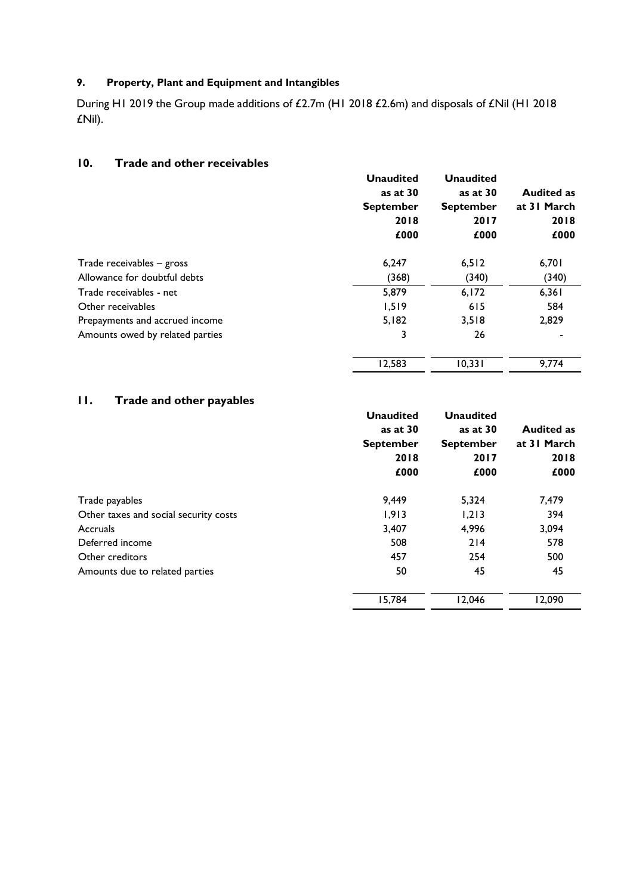# **9. Property, Plant and Equipment and Intangibles**

During H1 2019 the Group made additions of £2.7m (H1 2018 £2.6m) and disposals of £Nil (H1 2018 £Nil).

## **10. Trade and other receivables**

|                                 | <b>Unaudited</b> | <b>Unaudited</b> |                   |
|---------------------------------|------------------|------------------|-------------------|
|                                 | as at 30         | as at 30         | <b>Audited as</b> |
|                                 | <b>September</b> | <b>September</b> | at 31 March       |
|                                 | 2018             | 2017             | 2018              |
|                                 | £000             | £000             | £000              |
| Trade receivables – gross       | 6,247            | 6,512            | 6,701             |
| Allowance for doubtful debts    | (368)            | (340)            | (340)             |
| Trade receivables - net         | 5,879            | 6,172            | 6,361             |
| Other receivables               | 1,519            | 615              | 584               |
| Prepayments and accrued income  | 5,182            | 3,518            | 2,829             |
| Amounts owed by related parties | 3                | 26               |                   |
|                                 | 12,583           | 10,331           | 9.774             |

# **11. Trade and other payables**

| .                                     | <b>Unaudited</b><br>as at 30<br><b>September</b><br>2018<br>£000 | <b>Unaudited</b><br>as at 30<br><b>September</b><br>2017<br>£000 | <b>Audited as</b><br>at 31 March<br>2018<br>£000 |
|---------------------------------------|------------------------------------------------------------------|------------------------------------------------------------------|--------------------------------------------------|
| Trade payables                        | 9,449                                                            | 5,324                                                            | 7,479                                            |
| Other taxes and social security costs | 1,913                                                            | 1,213                                                            | 394                                              |
| Accruals                              | 3,407                                                            | 4,996                                                            | 3,094                                            |
| Deferred income                       | 508                                                              | 214                                                              | 578                                              |
| Other creditors                       | 457                                                              | 254                                                              | 500                                              |
| Amounts due to related parties        | 50                                                               | 45                                                               | 45                                               |
|                                       | 15,784                                                           | 12,046                                                           | 12,090                                           |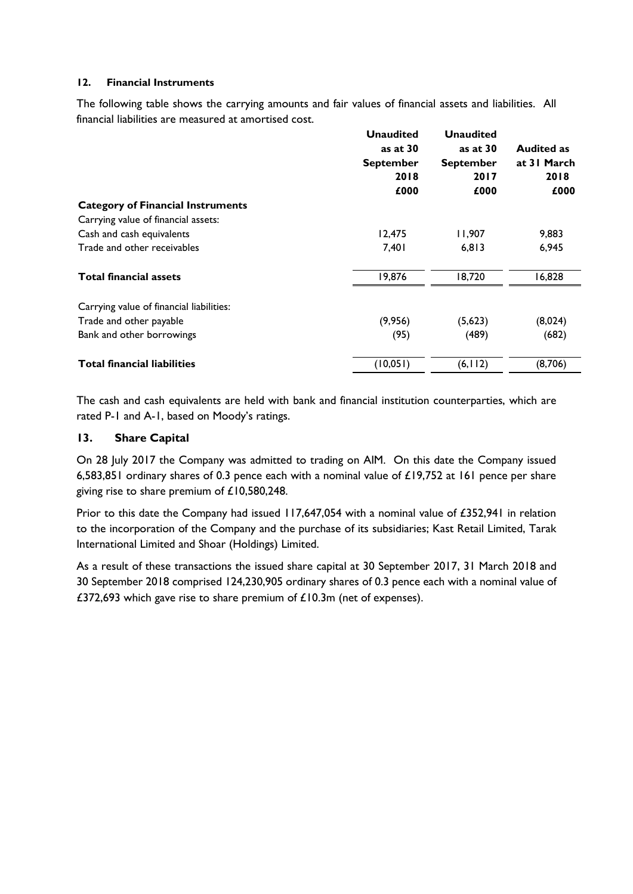### **12. Financial Instruments**

The following table shows the carrying amounts and fair values of financial assets and liabilities. All financial liabilities are measured at amortised cost.

|                                          | <b>Unaudited</b> | <b>Unaudited</b> |                   |
|------------------------------------------|------------------|------------------|-------------------|
|                                          | as at $30$       | as at $30$       | <b>Audited as</b> |
|                                          | <b>September</b> | <b>September</b> | at 31 March       |
|                                          | 2018             | 2017             | 2018              |
|                                          | £000             | £000             | £000              |
| <b>Category of Financial Instruments</b> |                  |                  |                   |
| Carrying value of financial assets:      |                  |                  |                   |
| Cash and cash equivalents                | 12,475           | 11,907           | 9,883             |
| Trade and other receivables              | 7,401            | 6,813            | 6,945             |
| <b>Total financial assets</b>            | 19,876           | 18,720           | 16,828            |
| Carrying value of financial liabilities: |                  |                  |                   |
| Trade and other payable                  | (9,956)          | (5,623)          | (8,024)           |
| Bank and other borrowings                | (95)             | (489)            | (682)             |
| <b>Total financial liabilities</b>       | (10, 051)        | (6, 112)         | (8,706)           |

The cash and cash equivalents are held with bank and financial institution counterparties, which are rated P-1 and A-1, based on Moody's ratings.

### **13. Share Capital**

On 28 July 2017 the Company was admitted to trading on AIM. On this date the Company issued 6,583,851 ordinary shares of 0.3 pence each with a nominal value of £19,752 at 161 pence per share giving rise to share premium of £10,580,248.

Prior to this date the Company had issued 117,647,054 with a nominal value of £352,941 in relation to the incorporation of the Company and the purchase of its subsidiaries; Kast Retail Limited, Tarak International Limited and Shoar (Holdings) Limited.

As a result of these transactions the issued share capital at 30 September 2017, 31 March 2018 and 30 September 2018 comprised 124,230,905 ordinary shares of 0.3 pence each with a nominal value of £372,693 which gave rise to share premium of £10.3m (net of expenses).